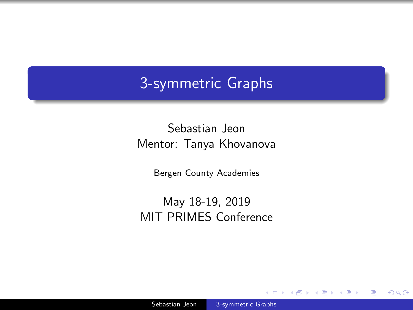### <span id="page-0-0"></span>3-symmetric Graphs

Sebastian Jeon Mentor: Tanya Khovanova

Bergen County Academies

May 18-19, 2019 MIT PRIMES Conference

 $\sim$   $\sim$ 

つくへ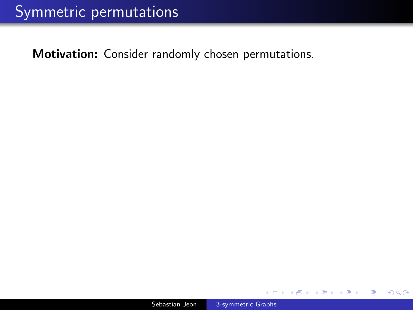Motivation: Consider randomly chosen permutations.

Ð

つくへ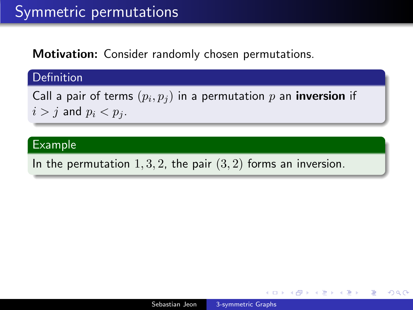Motivation: Consider randomly chosen permutations.

### **Definition**

Call a pair of terms  $(p_i,p_j)$  in a permutation  $p$  an **inversion** if  $i > j$  and  $p_i < p_j$ .

### Example

In the permutation  $1, 3, 2$ , the pair  $(3, 2)$  forms an inversion.

同 → → 三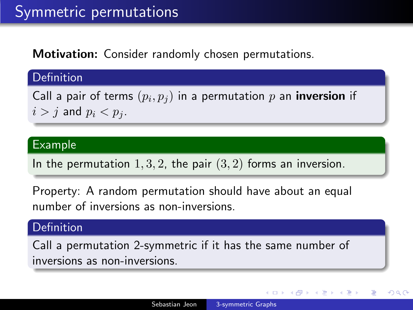Motivation: Consider randomly chosen permutations.

**Definition** 

Call a pair of terms  $(p_i,p_j)$  in a permutation  $p$  an **inversion** if  $i > j$  and  $p_i < p_j$ .

### Example

In the permutation  $1, 3, 2$ , the pair  $(3, 2)$  forms an inversion.

Property: A random permutation should have about an equal number of inversions as non-inversions.

### Definition

Call a permutation 2-symmetric if it has the same number of inversions as non-inversions.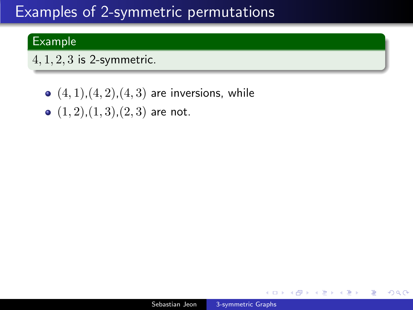# Examples of 2-symmetric permutations

### Example

 $4, 1, 2, 3$  is 2-symmetric.

- $(4, 1), (4, 2), (4, 3)$  are inversions, while
- $(1, 2), (1, 3), (2, 3)$  are not.

 $\leftarrow$ 

∢ 何 ▶ 《 百 ▶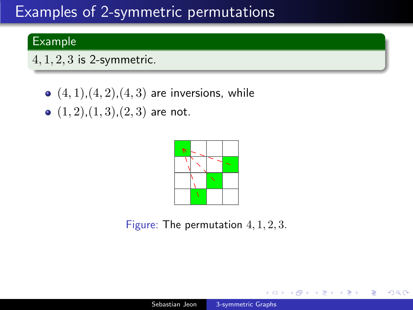# Examples of 2-symmetric permutations

### Example

 $4, 1, 2, 3$  is 2-symmetric.

- $(4, 1), (4, 2), (4, 3)$  are inversions, while
- $(1, 2), (1, 3), (2, 3)$  are not.



Figure: The permutation 4, 1, 2, 3.

 $\Box$ 

同 → → 三

 $\Omega$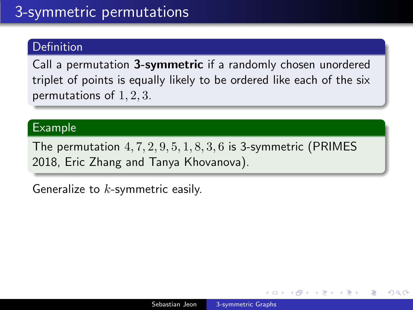### **Definition**

Call a permutation 3-symmetric if a randomly chosen unordered triplet of points is equally likely to be ordered like each of the six permutations of 1, 2, 3.

### Example

The permutation  $4, 7, 2, 9, 5, 1, 8, 3, 6$  is 3-symmetric (PRIMES) 2018, Eric Zhang and Tanya Khovanova).

Generalize to  $k$ -symmetric easily.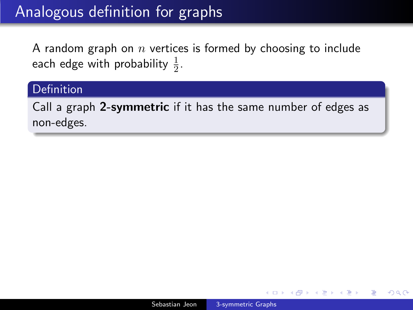# Analogous definition for graphs

A random graph on  $n$  vertices is formed by choosing to include each edge with probability  $\frac{1}{2}$ .

### **Definition**

Call a graph 2-symmetric if it has the same number of edges as non-edges.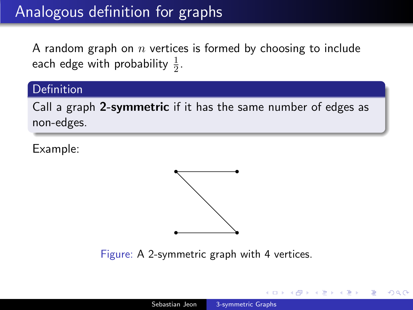# Analogous definition for graphs

A random graph on  $n$  vertices is formed by choosing to include each edge with probability  $\frac{1}{2}$ .

### **Definition**

Call a graph 2-symmetric if it has the same number of edges as non-edges.

Example:



Figure: A 2-symmetric graph with 4 vertices.

母→ ∢∃→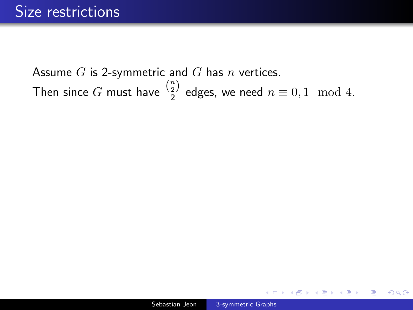Assume  $G$  is 2-symmetric and  $G$  has  $n$  vertices. Then since  $G$  must have  $\frac{\binom{n}{2}}{2}$  $\frac{2}{2}$  edges, we need  $n \equiv 0, 1 \mod 4$ .

 $QQ$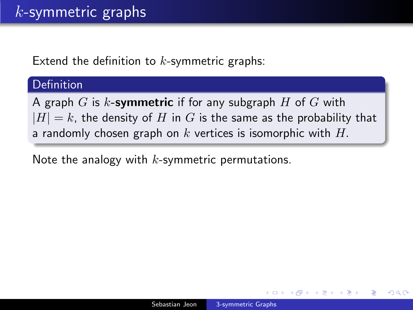Extend the definition to  $k$ -symmetric graphs:

### **Definition**

A graph  $G$  is k-symmetric if for any subgraph  $H$  of  $G$  with  $|H| = k$ , the density of H in G is the same as the probability that a randomly chosen graph on  $k$  vertices is isomorphic with  $H$ .

Note the analogy with  $k$ -symmetric permutations.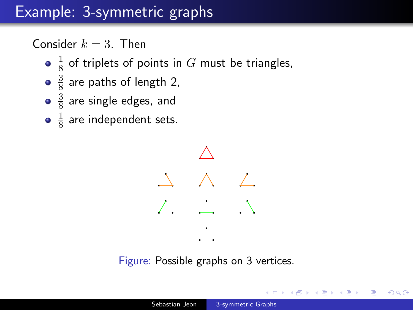# Example: 3-symmetric graphs

Consider  $k = 3$ . Then

- 1  $\frac{1}{8}$  of triplets of points in  $G$  must be triangles,
- 3  $\frac{3}{8}$  are paths of length 2,
- 3  $\frac{3}{8}$  are single edges, and
- 1  $\frac{1}{8}$  are independent sets.



Figure: Possible graphs on 3 vertices.

何 ▶ ( 三 ) ( )

 $\Omega$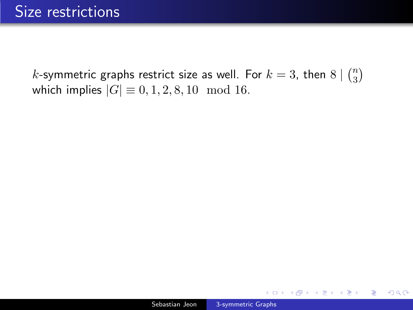*k*-symmetric graphs restrict size as well. For  $k=3$ , then  $8 \mid {n \choose 3}$  $\binom{n}{3}$ which implies  $|G| \equiv 0, 1, 2, 8, 10 \mod 16$ .

 $\leftarrow$ 

母 ▶ イヨ ▶ イ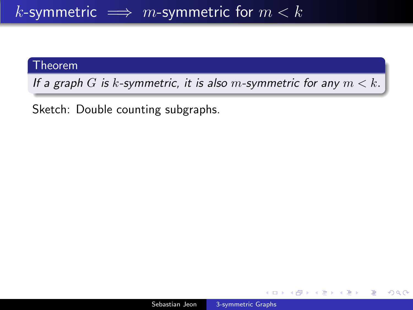### k-symmetric  $\implies m$ -symmetric for  $m < k$

#### Theorem

If a graph G is k-symmetric, it is also m-symmetric for any  $m < k$ .

Sketch: Double counting subgraphs.

母→ ∢∃→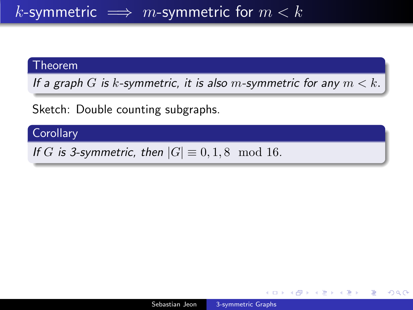### k-symmetric  $\implies m$ -symmetric for  $m < k$

#### **Theorem**

If a graph G is k-symmetric, it is also m-symmetric for any  $m < k$ .

Sketch: Double counting subgraphs.

### **Corollary**

If G is 3-symmetric, then  $|G| \equiv 0, 1, 8 \mod 16$ .

∢ 何 ▶ 《 百 ▶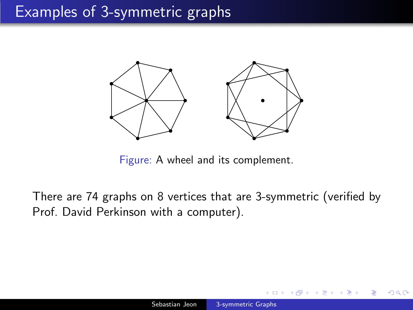

Figure: A wheel and its complement.

There are 74 graphs on 8 vertices that are 3-symmetric (verified by Prof. David Perkinson with a computer).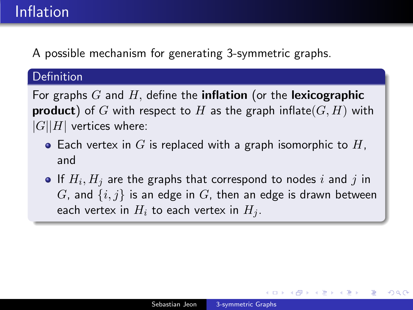# Inflation

A possible mechanism for generating 3-symmetric graphs.

### Definition

For graphs  $G$  and  $H$ , define the **inflation** (or the **lexicographic product**) of G with respect to H as the graph inflate( $G$ , H) with  $|G||H|$  vertices where:

- Each vertex in G is replaced with a graph isomorphic to  $H$ , and
- If  $H_i,H_j$  are the graphs that correspond to nodes  $i$  and  $j$  in G, and  $\{i, j\}$  is an edge in G, then an edge is drawn between each vertex in  $H_i$  to each vertex in  $H_i$ .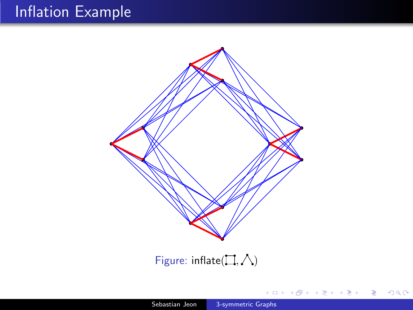# Inflation Example



Figure: inflate( $\Box, \triangle$ )

∢⊡

∍

**State**  $\rightarrow$   $2Q$ 

∍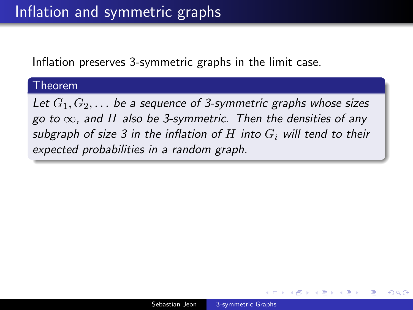Inflation preserves 3-symmetric graphs in the limit case.

#### Theorem

Let  $G_1, G_2, \ldots$  be a sequence of 3-symmetric graphs whose sizes go to  $\infty$ , and H also be 3-symmetric. Then the densities of any subgraph of size 3 in the inflation of H into  $G_i$  will tend to their expected probabilities in a random graph.

つくへ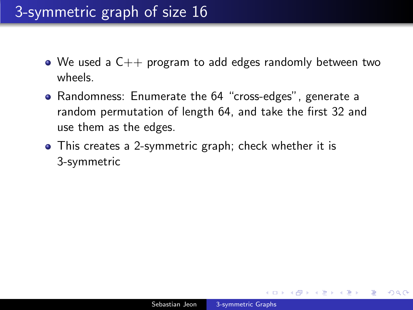# 3-symmetric graph of size 16

- We used a  $C_{++}$  program to add edges randomly between two wheels.
- Randomness: Enumerate the 64 "cross-edges", generate a random permutation of length 64, and take the first 32 and use them as the edges.
- This creates a 2-symmetric graph; check whether it is 3-symmetric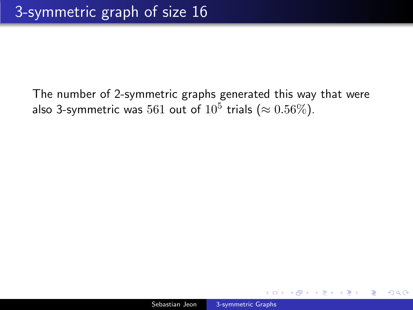The number of 2-symmetric graphs generated this way that were also 3-symmetric was  $561$  out of  $10^5$  trials  $(\approx 0.56\%).$ 

 $\Omega$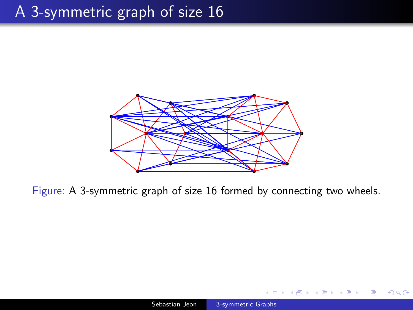## A 3-symmetric graph of size 16



Figure: A 3-symmetric graph of size 16 formed by connecting two wheels.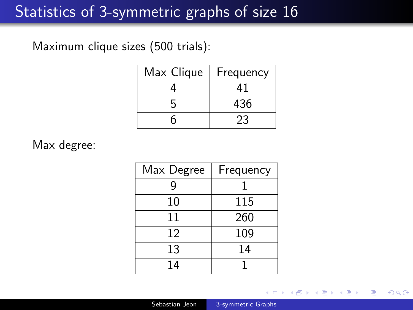# Statistics of 3-symmetric graphs of size 16

Maximum clique sizes (500 trials):

| Max Clique | Frequency |
|------------|-----------|
|            | 41        |
|            | 436       |
|            | 23        |

Max degree:

| Max Degree | Frequency |
|------------|-----------|
| g          |           |
| 10         | 115       |
| 11         | 260       |
| 12         | 109       |
| 13         | 14        |
| 14         |           |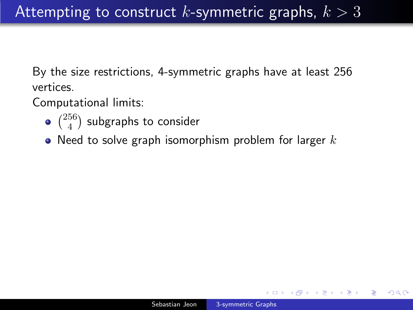By the size restrictions, 4-symmetric graphs have at least 256 vertices.

Computational limits:

- $\binom{256}{4}$  $_4^{56}$ ) subgraphs to consider
- Need to solve graph isomorphism problem for larger  $k$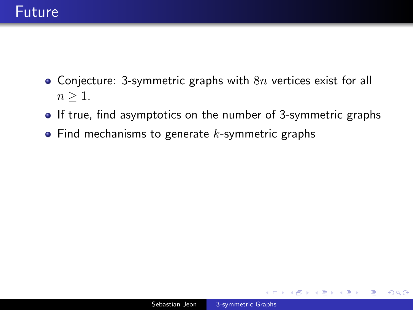### Future

- Conjecture: 3-symmetric graphs with  $8n$  vertices exist for all  $n \geq 1$ .
- If true, find asymptotics on the number of 3-symmetric graphs
- $\bullet$  Find mechanisms to generate k-symmetric graphs

 $\Omega$